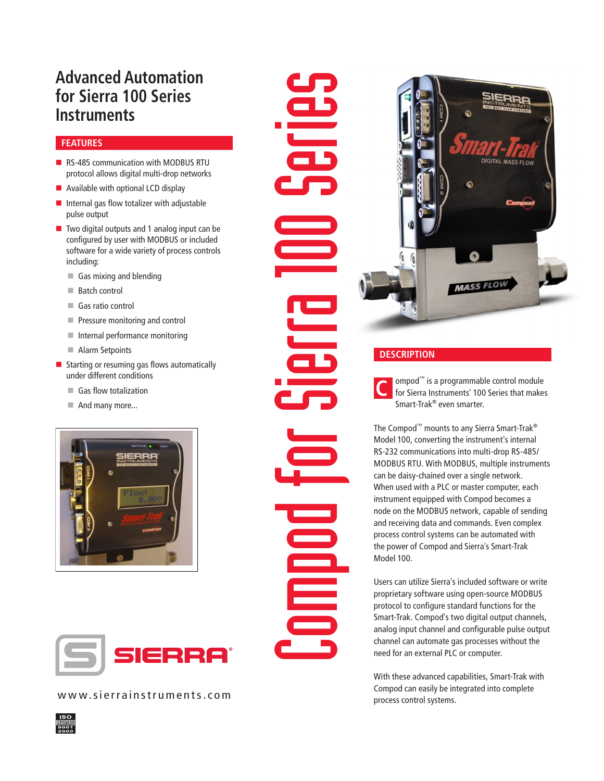# **Advanced Automation for Sierra 100 Series Instruments**

## **FEATURES**

- RS-485 communication with MODBUS RTU protocol allows digital multi-drop networks
- $\blacksquare$  Available with optional LCD display
- $\blacksquare$  Internal gas flow totalizer with adjustable pulse output
- $\blacksquare$  Two digital outputs and 1 analog input can be configured by user with MODBUS or included software for a wide variety of process controls including:
	- $\blacksquare$  Gas mixing and blending
	- $\blacksquare$  Batch control
	- Gas ratio control
	- **Pressure monitoring and control**
	- **n** Internal performance monitoring
	- Alarm Setpoints
- $\blacksquare$  Starting or resuming gas flows automatically under different conditions
	- Gas flow totalization
	- $\blacksquare$  And many more...





www.sierrainstruments.com





# **DESCRIPTION**

**C** ompod<sup>™</sup> is a programmable control module for Sierra Instruments' 100 Series that makes Smart-Trak® even smarter.

The Compod™ mounts to any Sierra Smart-Trak® Model 100, converting the instrument's internal RS-232 communications into multi-drop RS-485/ MODBUS RTU. With MODBUS, multiple instruments can be daisy-chained over a single network. When used with a PLC or master computer, each instrument equipped with Compod becomes a node on the MODBUS network, capable of sending and receiving data and commands. Even complex process control systems can be automated with the power of Compod and Sierra's Smart-Trak Model 100.

Users can utilize Sierra's included software or write proprietary software using open-source MODBUS protocol to configure standard functions for the Smart-Trak. Compod's two digital output channels, analog input channel and configurable pulse output channel can automate gas processes without the need for an external PLC or computer.

With these advanced capabilities, Smart-Trak with Compod can easily be integrated into complete process control systems.

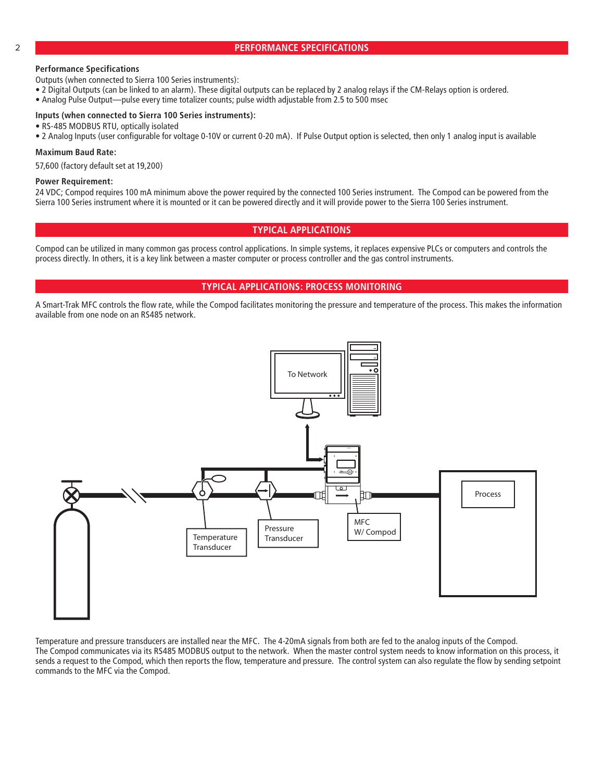#### 2 **PERFORMANCE SPECIFICATIONS**

#### **Performance Specifications**

Outputs (when connected to Sierra 100 Series instruments):

- 2 Digital Outputs (can be linked to an alarm). These digital outputs can be replaced by 2 analog relays if the CM-Relays option is ordered.
- Analog Pulse Output—pulse every time totalizer counts; pulse width adjustable from 2.5 to 500 msec

#### **Inputs (when connected to Sierra 100 Series instruments):**

- RS-485 MODBUS RTU, optically isolated
- 2 Analog Inputs (user configurable for voltage 0-10V or current 0-20 mA). If Pulse Output option is selected, then only 1 analog input is available

#### **Maximum Baud Rate:**

57,600 (factory default set at 19,200)

#### **Power Requirement:**

24 VDC; Compod requires 100 mA minimum above the power required by the connected 100 Series instrument. The Compod can be powered from the Sierra 100 Series instrument where it is mounted or it can be powered directly and it will provide power to the Sierra 100 Series instrument.

### **TYPICAL APPLICATIONS**

Compod can be utilized in many common gas process control applications. In simple systems, it replaces expensive PLCs or computers and controls the process directly. In others, it is a key link between a master computer or process controller and the gas control instruments.

#### **TYPICAL APPLICATIONS: PROCESS MONITORING**

A Smart-Trak MFC controls the flow rate, while the Compod facilitates monitoring the pressure and temperature of the process. This makes the information available from one node on an RS485 network.



Temperature and pressure transducers are installed near the MFC. The 4-20mA signals from both are fed to the analog inputs of the Compod. The Compod communicates via its RS485 MODBUS output to the network. When the master control system needs to know information on this process, it sends a request to the Compod, which then reports the flow, temperature and pressure. The control system can also regulate the flow by sending setpoint commands to the MFC via the Compod.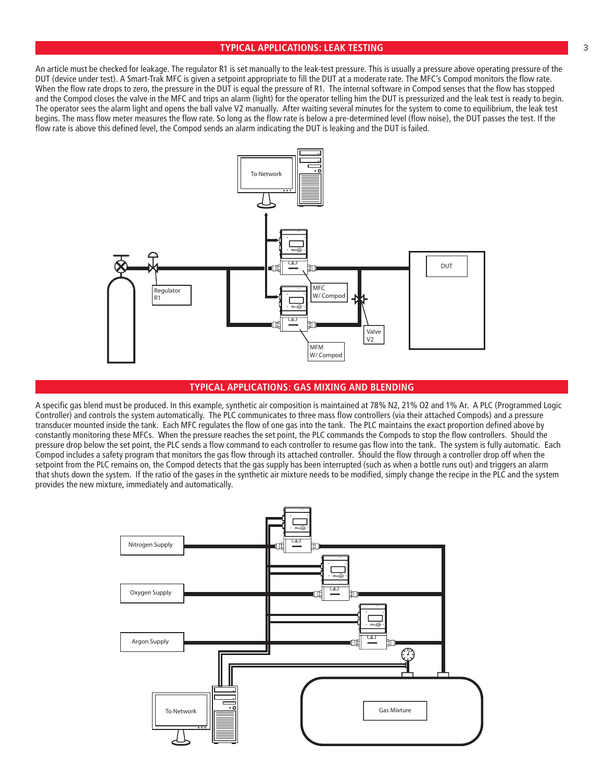## **TYPICAL APPLICATIONS: LEAK TESTING** 3

An article must be checked for leakage. The regulator R1 is set manually to the leak-test pressure. This is usually a pressure above operating pressure of the DUT (device under test). A Smart-Trak MFC is given a setpoint appropriate to fill the DUT at a moderate rate. The MFC's Compod monitors the flow rate. When the flow rate drops to zero, the pressure in the DUT is equal the pressure of R1. The internal software in Compod senses that the flow has stopped and the Compod closes the valve in the MFC and trips an alarm (light) for the operator telling him the DUT is pressurized and the leak test is ready to begin. The operator sees the alarm light and opens the ball valve V2 manually. After waiting several minutes for the system to come to equilibrium, the leak test begins. The mass flow meter measures the flow rate. So long as the flow rate is below a pre-determined level (flow noise), the DUT passes the test. If the flow rate is above this defined level, the Compod sends an alarm indicating the DUT is leaking and the DUT is failed.



## **TYPICAL APPLICATIONS: GAS MIXING AND BLENDING**

A specific gas blend must be produced. In this example, synthetic air composition is maintained at 78% N2, 21% O2 and 1% Ar. A PLC (Programmed Logic Controller) and controls the system automatically. The PLC communicates to three mass flow controllers (via their attached Compods) and a pressure transducer mounted inside the tank. Each MFC regulates the flow of one gas into the tank. The PLC maintains the exact proportion defined above by constantly monitoring these MFCs. When the pressure reaches the set point, the PLC commands the Compods to stop the flow controllers. Should the pressure drop below the set point, the PLC sends a flow command to each controller to resume gas flow into the tank. The system is fully automatic. Each Compod includes a safety program that monitors the gas flow through its attached controller. Should the flow through a controller drop off when the setpoint from the PLC remains on, the Compod detects that the gas supply has been interrupted (such as when a bottle runs out) and triggers an alarm that shuts down the system. If the ratio of the gases in the synthetic air mixture needs to be modified, simply change the recipe in the PLC and the system provides the new mixture, immediately and automatically.